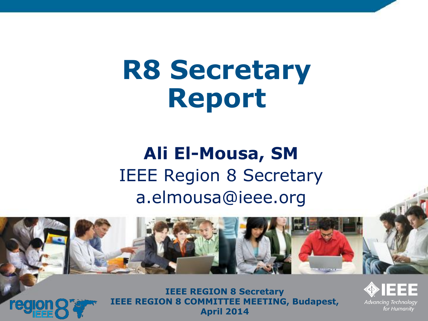## **R8 Secretary Report**

#### **Ali El-Mousa, SM** IEEE Region 8 Secretary a.elmousa@ieee.org



**IEEE REGION 8 Secretary IEEE REGION 8 COMMITTEE MEETING, Budapest, April 2014**

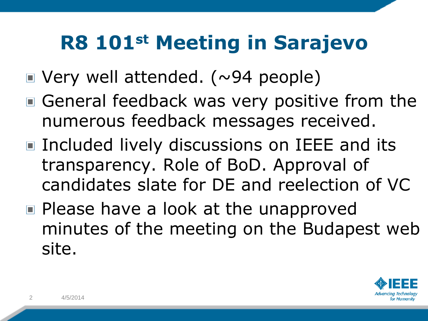#### **R8 101st Meeting in Sarajevo**

- $\blacksquare$  Very well attended. (~94 people)
- General feedback was very positive from the numerous feedback messages received.
- Included lively discussions on IEEE and its transparency. Role of BoD. Approval of candidates slate for DE and reelection of VC
- Please have a look at the unapproved minutes of the meeting on the Budapest web site.

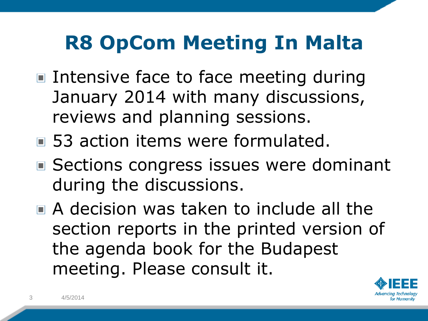### **R8 OpCom Meeting In Malta**

- Intensive face to face meeting during January 2014 with many discussions, reviews and planning sessions.
- 53 action items were formulated.
- Sections congress issues were dominant during the discussions.
- A decision was taken to include all the section reports in the printed version of the agenda book for the Budapest meeting. Please consult it.

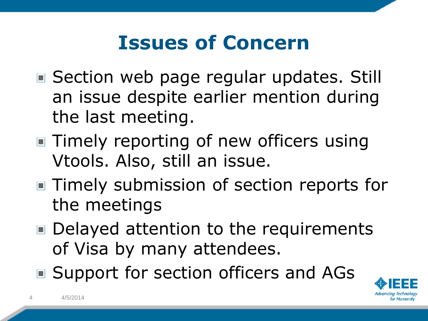#### **Issues of Concern**

- Section web page regular updates. Still an issue despite earlier mention during the last meeting.
- Timely reporting of new officers using Vtools. Also, still an issue.
- Timely submission of section reports for the meetings
- Delayed attention to the requirements of Visa by many attendees.
- Support for section officers and AGs

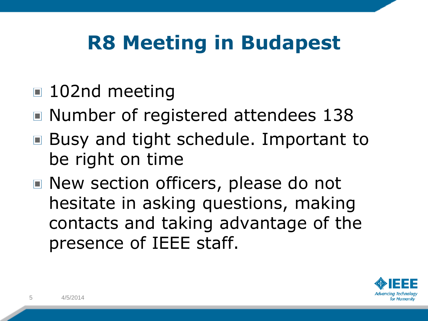### **R8 Meeting in Budapest**

- 102nd meeting
- Number of registered attendees 138
- Busy and tight schedule. Important to be right on time
- New section officers, please do not hesitate in asking questions, making contacts and taking advantage of the presence of IEEE staff.

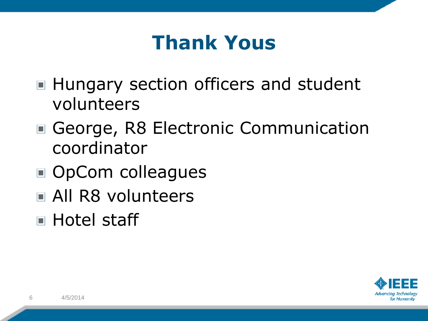#### **Thank Yous**

- Hungary section officers and student volunteers
- George, R8 Electronic Communication coordinator
- OpCom colleagues
- All R8 volunteers
- **E** Hotel staff